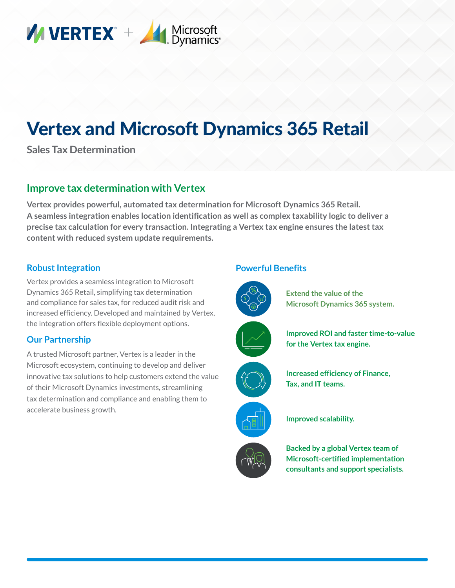

# Vertex and Microsoft Dynamics 365 Retail

**Sales Tax Determination**

# **Improve tax determination with Vertex**

**Vertex provides powerful, automated tax determination for Microsoft Dynamics 365 Retail. A seamless integration enables location identification as well as complex taxability logic to deliver a precise tax calculation for every transaction. Integrating a Vertex tax engine ensures the latest tax content with reduced system update requirements.**

## **Robust Integration**

Vertex provides a seamless integration to Microsoft Dynamics 365 Retail, simplifying tax determination and compliance for sales tax, for reduced audit risk and increased efficiency. Developed and maintained by Vertex, the integration offers flexible deployment options.

#### **Our Partnership**

A trusted Microsoft partner, Vertex is a leader in the Microsoft ecosystem, continuing to develop and deliver innovative tax solutions to help customers extend the value of their Microsoft Dynamics investments, streamlining tax determination and compliance and enabling them to accelerate business growth.

## **Powerful Benefits**



**Extend the value of the Microsoft Dynamics 365 system.**











**Improved scalability.**

**Backed by a global Vertex team of Microsoft-certified implementation consultants and support specialists.**